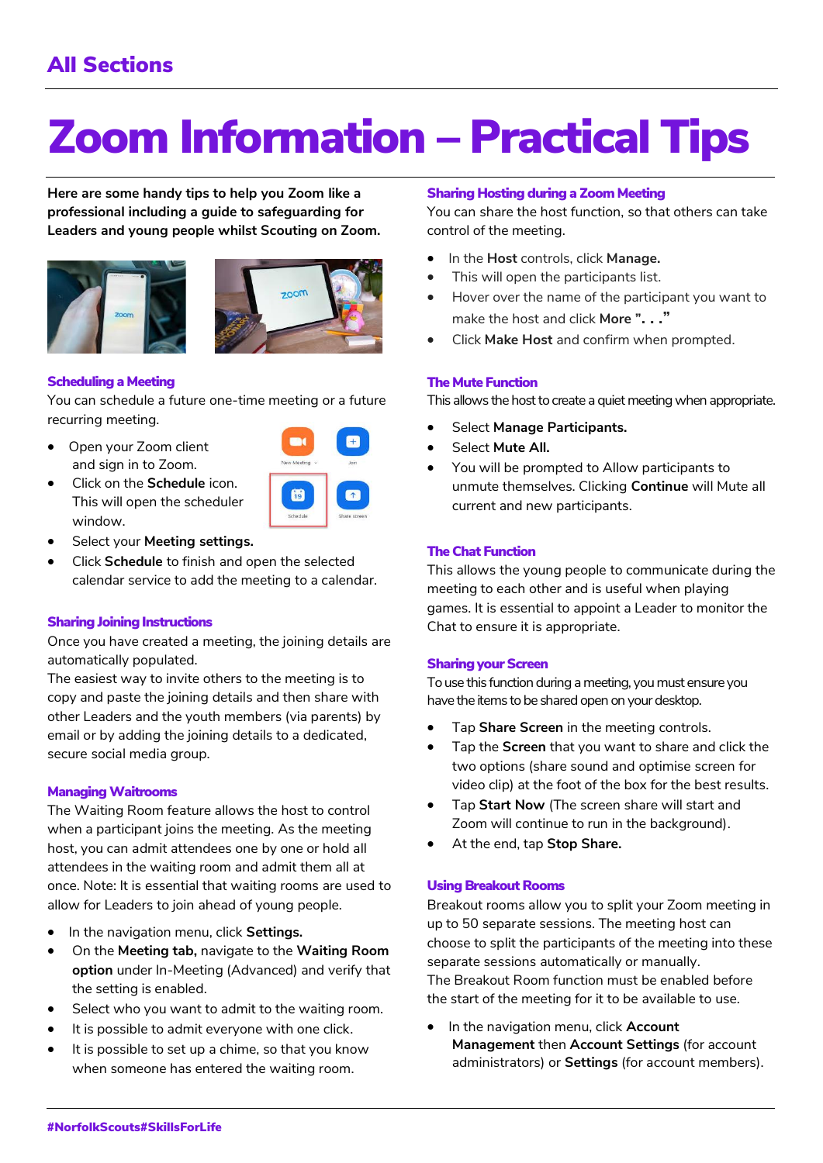# Zoom Information – Practical Tips

**Here are some handy tips to help you Zoom like a professional including a guide to safeguarding for Leaders and young people whilst Scouting on Zoom.**





# Scheduling a Meeting

window.

You can schedule a future one-time meeting or a future recurring meeting.

• Open your Zoom client and sign in to Zoom.



• Select your **Meeting settings.**

• Click on the **Schedule** icon. This will open the scheduler

• Click **Schedule** to finish and open the selected calendar service to add the meeting to a calendar.

# Sharing Joining Instructions

Once you have created a meeting, the joining details are automatically populated.

The easiest way to invite others to the meeting is to copy and paste the joining details and then share with other Leaders and the youth members (via parents) by email or by adding the joining details to a dedicated, secure social media group.

#### **Managing Waitrooms**

The Waiting Room feature allows the host to control when a participant joins the meeting. As the meeting host, you can admit attendees one by one or hold all attendees in the waiting room and admit them all at once. Note: It is essential that waiting rooms are used to allow for Leaders to join ahead of young people.

- In the navigation menu, click **Settings.**
- On the **Meeting tab,** navigate to the **Waiting Room option** under In-Meeting (Advanced) and verify that the setting is enabled.
- Select who you want to admit to the waiting room.
- It is possible to admit everyone with one click.
- It is possible to set up a chime, so that you know when someone has entered the waiting room.

## **Sharing Hosting during a Zoom Meeting**

You can share the host function, so that others can take control of the meeting.

- In the **Host** controls, click **Manage.**
- This will open the participants list.
- Hover over the name of the participant you want to make the host and click **More ". . ."**
- Click **Make Host** and confirm when prompted.

# **The Mute Function**

This allows the host to create a quiet meeting when appropriate.

- Select **Manage Participants.**
- Select **Mute All.**
- You will be prompted to Allow participants to unmute themselves. Clicking **Continue** will Mute all current and new participants.

# **The Chat Function**

This allows the young people to communicate during the meeting to each other and is useful when playing games. It is essential to appoint a Leader to monitor the Chat to ensure it is appropriate.

#### **Sharing your Screen**

To use this function during a meeting, you must ensure you have the items to be shared open on your desktop.

- Tap **Share Screen** in the meeting controls.
- Tap the **Screen** that you want to share and click the two options (share sound and optimise screen for video clip) at the foot of the box for the best results.
- Tap **Start Now** (The screen share will start and Zoom will continue to run in the background).
- At the end, tap **Stop Share.**

#### Using Breakout Rooms

Breakout rooms allow you to split your Zoom meeting in up to 50 separate sessions. The meeting host can choose to split the participants of the meeting into these separate sessions automatically or manually. The Breakout Room function must be enabled before the start of the meeting for it to be available to use.

• In the navigation menu, click **Account Management** then **Account Settings** (for account administrators) or **Settings** (for account members).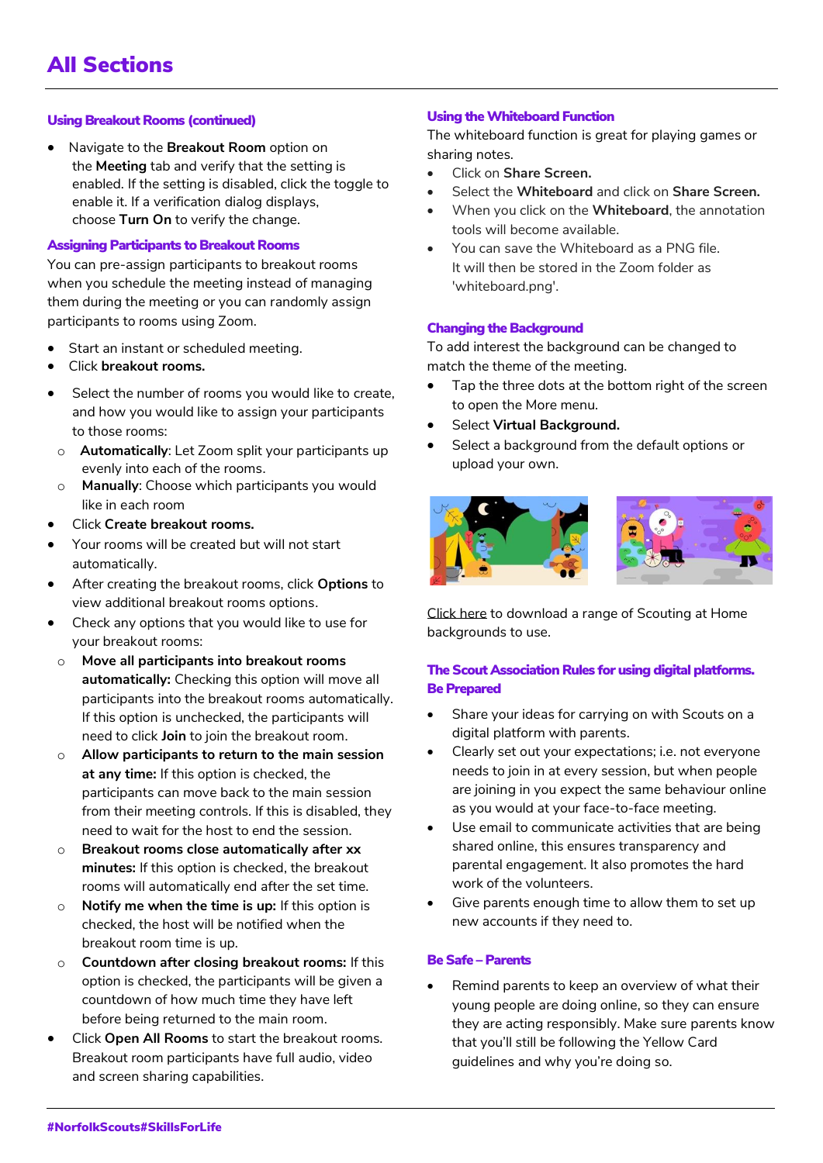# Using Breakout Rooms (continued)

• Navigate to the **Breakout Room** option on the **Meeting** tab and verify that the setting is enabled. If the setting is disabled, click the toggle to enable it. If a verification dialog displays, choose **Turn On** to verify the change.

# Assigning Participants to Breakout Rooms

You can pre-assign participants to breakout rooms when you schedule the meeting instead of managing them during the meeting or you can randomly assign participants to rooms using Zoom.

- Start an instant or scheduled meeting.
- Click **breakout rooms.**
- Select the number of rooms you would like to create, and how you would like to assign your participants to those rooms:
- o **Automatically**: Let Zoom split your participants up evenly into each of the rooms.
- o **Manually**: Choose which participants you would like in each room
- Click **Create breakout rooms.**
- Your rooms will be created but will not start automatically.
- After creating the breakout rooms, click **Options** to view additional breakout rooms options.
- Check any options that you would like to use for your breakout rooms:
- o **Move all participants into breakout rooms automatically:** Checking this option will move all participants into the breakout rooms automatically. If this option is unchecked, the participants will need to click **Join** to join the breakout room.
- o **Allow participants to return to the main session at any time:** If this option is checked, the participants can move back to the main session from their meeting controls. If this is disabled, they need to wait for the host to end the session.
- o **Breakout rooms close automatically after xx minutes:** If this option is checked, the breakout rooms will automatically end after the set time.
- o **Notify me when the time is up:** If this option is checked, the host will be notified when the breakout room time is up.
- o **Countdown after closing breakout rooms:** If this option is checked, the participants will be given a countdown of how much time they have left before being returned to the main room.
- Click **Open All Rooms** to start the breakout rooms. Breakout room participants have full audio, video and screen sharing capabilities.

# Using the Whiteboard Function

The whiteboard function is great for playing games or sharing notes.

- Click on **Share Screen.**
- Select the **Whiteboard** and click on **Share Screen.**
- When you click on the **Whiteboard**, the annotation tools will become available.
- You can save the Whiteboard as a PNG file. It will then be stored in the Zoom folder as 'whiteboard.png'.

#### Changing the Background

To add interest the background can be changed to match the theme of the meeting.

- Tap the three dots at the bottom right of the screen to open the More menu.
- Select **Virtual Background.**
- Select a background from the default options or upload your own.



[Click here](https://www.scouts.org.uk/volunteers/scouts-at-home/staying-safe-online/zoom-backgrounds) to download a range of Scouting at Home backgrounds to use.

# The Scout Association Rules for using digital platforms. Be Prepared

- Share your ideas for carrying on with Scouts on a digital platform with parents.
- Clearly set out your expectations; i.e. not everyone needs to join in at every session, but when people are joining in you expect the same behaviour online as you would at your face-to-face meeting.
- Use email to communicate activities that are being shared online, this ensures transparency and parental engagement. It also promotes the hard work of the volunteers.
- Give parents enough time to allow them to set up new accounts if they need to.

# Be Safe – Parents

Remind parents to keep an overview of what their young people are doing online, so they can ensure they are acting responsibly. Make sure parents know that you'll still be following the Yellow Card guidelines and why you're doing so.